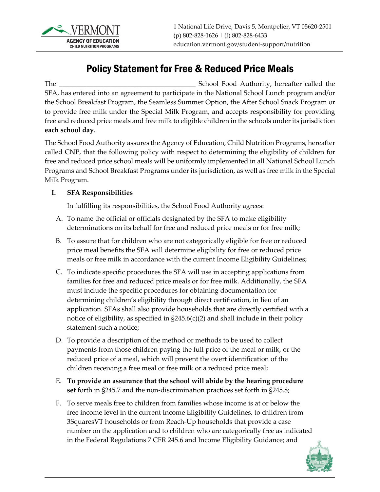

# Policy Statement for Free & Reduced Price Meals

The \_\_\_\_\_\_\_\_\_\_\_\_\_\_\_\_\_\_\_\_\_\_\_\_\_\_\_\_\_\_\_\_\_\_\_\_\_\_\_\_ School Food Authority, hereafter called the SFA, has entered into an agreement to participate in the National School Lunch program and/or the School Breakfast Program, the Seamless Summer Option, the After School Snack Program or to provide free milk under the Special Milk Program, and accepts responsibility for providing free and reduced price meals and free milk to eligible children in the schools under its jurisdiction **each school day**.

The School Food Authority assures the Agency of Education, Child Nutrition Programs, hereafter called CNP, that the following policy with respect to determining the eligibility of children for free and reduced price school meals will be uniformly implemented in all National School Lunch Programs and School Breakfast Programs under its jurisdiction, as well as free milk in the Special Milk Program.

#### **I. SFA Responsibilities**

In fulfilling its responsibilities, the School Food Authority agrees:

- A. To name the official or officials designated by the SFA to make eligibility determinations on its behalf for free and reduced price meals or for free milk;
- B. To assure that for children who are not categorically eligible for free or reduced price meal benefits the SFA will determine eligibility for free or reduced price meals or free milk in accordance with the current Income Eligibility Guidelines;
- C. To indicate specific procedures the SFA will use in accepting applications from families for free and reduced price meals or for free milk. Additionally, the SFA must include the specific procedures for obtaining documentation for determining children's eligibility through direct certification, in lieu of an application. SFAs shall also provide households that are directly certified with a notice of eligibility, as specified in §245.6(c)(2) and shall include in their policy statement such a notice;
- D. To provide a description of the method or methods to be used to collect payments from those children paying the full price of the meal or milk, or the reduced price of a meal, which will prevent the overt identification of the children receiving a free meal or free milk or a reduced price meal;
- E. **To provide an assurance that the school will abide by the hearing procedure set** forth in §245.7 and the non-discrimination practices set forth in §245.8;
- F. To serve meals free to children from families whose income is at or below the free income level in the current Income Eligibility Guidelines, to children from 3SquaresVT households or from Reach-Up households that provide a case number on the application and to children who are categorically free as indicated in the Federal Regulations 7 CFR 245.6 and Income Eligibility Guidance; and

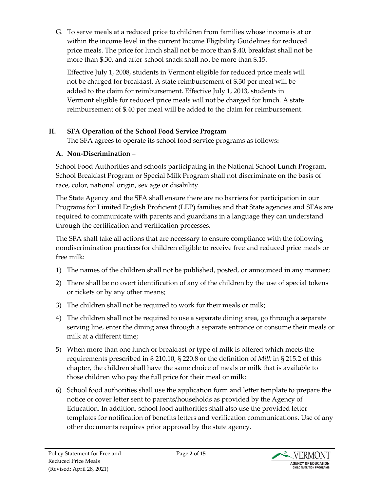G. To serve meals at a reduced price to children from families whose income is at or within the income level in the current Income Eligibility Guidelines for reduced price meals. The price for lunch shall not be more than \$.40, breakfast shall not be more than \$.30, and after-school snack shall not be more than \$.15.

Effective July 1, 2008, students in Vermont eligible for reduced price meals will not be charged for breakfast. A state reimbursement of \$.30 per meal will be added to the claim for reimbursement. Effective July 1, 2013, students in Vermont eligible for reduced price meals will not be charged for lunch. A state reimbursement of \$.40 per meal will be added to the claim for reimbursement.

## **II. SFA Operation of the School Food Service Program**

The SFA agrees to operate its school food service programs as follows**:** 

### **A. Non-Discrimination** –

School Food Authorities and schools participating in the National School Lunch Program, School Breakfast Program or Special Milk Program shall not discriminate on the basis of race, color, national origin, sex age or disability.

The State Agency and the SFA shall ensure there are no barriers for participation in our Programs for Limited English Proficient (LEP) families and that State agencies and SFAs are required to communicate with parents and guardians in a language they can understand through the certification and verification processes.

The SFA shall take all actions that are necessary to ensure compliance with the following nondiscrimination practices for children eligible to receive free and reduced price meals or free milk:

- 1) The names of the children shall not be published, posted, or announced in any manner;
- 2) There shall be no overt identification of any of the children by the use of special tokens or tickets or by any other means;
- 3) The children shall not be required to work for their meals or milk;
- 4) The children shall not be required to use a separate dining area, go through a separate serving line, enter the dining area through a separate entrance or consume their meals or milk at a different time;
- 5) When more than one lunch or breakfast or type of milk is offered which meets the requirements prescribed in § 210.10, § 220.8 or the definition of *Milk* in § 215.2 of this chapter, the children shall have the same choice of meals or milk that is available to those children who pay the full price for their meal or milk;
- 6) School food authorities shall use the application form and letter template to prepare the notice or cover letter sent to parents/households as provided by the Agency of Education. In addition, school food authorities shall also use the provided letter templates for notification of benefits letters and verification communications. Use of any other documents requires prior approval by the state agency.

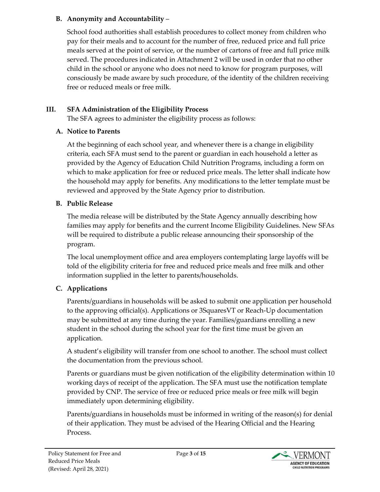#### **B. Anonymity and Accountability** –

School food authorities shall establish procedures to collect money from children who pay for their meals and to account for the number of free, reduced price and full price meals served at the point of service, or the number of cartons of free and full price milk served. The procedures indicated in Attachment 2 will be used in order that no other child in the school or anyone who does not need to know for program purposes, will consciously be made aware by such procedure, of the identity of the children receiving free or reduced meals or free milk.

### **III. SFA Administration of the Eligibility Process**

The SFA agrees to administer the eligibility process as follows:

#### **A. Notice to Parents**

At the beginning of each school year, and whenever there is a change in eligibility criteria, each SFA must send to the parent or guardian in each household a letter as provided by the Agency of Education Child Nutrition Programs, including a form on which to make application for free or reduced price meals. The letter shall indicate how the household may apply for benefits. Any modifications to the letter template must be reviewed and approved by the State Agency prior to distribution.

## **B. Public Release**

The media release will be distributed by the State Agency annually describing how families may apply for benefits and the current Income Eligibility Guidelines. New SFAs will be required to distribute a public release announcing their sponsorship of the program.

The local unemployment office and area employers contemplating large layoffs will be told of the eligibility criteria for free and reduced price meals and free milk and other information supplied in the letter to parents/households.

## **C. Applications**

Parents/guardians in households will be asked to submit one application per household to the approving official(s). Applications or 3SquaresVT or Reach-Up documentation may be submitted at any time during the year. Families/guardians enrolling a new student in the school during the school year for the first time must be given an application.

A student's eligibility will transfer from one school to another. The school must collect the documentation from the previous school.

Parents or guardians must be given notification of the eligibility determination within 10 working days of receipt of the application. The SFA must use the notification template provided by CNP. The service of free or reduced price meals or free milk will begin immediately upon determining eligibility.

Parents/guardians in households must be informed in writing of the reason(s) for denial of their application. They must be advised of the Hearing Official and the Hearing Process.

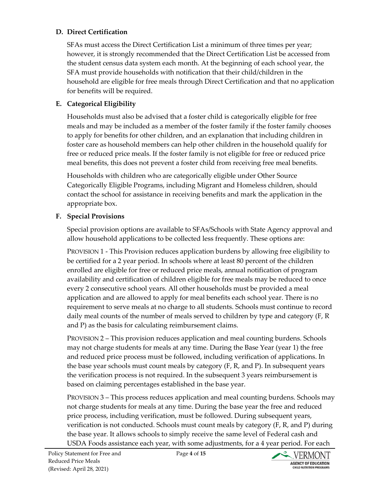#### **D. Direct Certification**

SFAs must access the Direct Certification List a minimum of three times per year; however, it is strongly recommended that the Direct Certification List be accessed from the student census data system each month. At the beginning of each school year, the SFA must provide households with notification that their child/children in the household are eligible for free meals through Direct Certification and that no application for benefits will be required.

#### **E. Categorical Eligibility**

Households must also be advised that a foster child is categorically eligible for free meals and may be included as a member of the foster family if the foster family chooses to apply for benefits for other children, and an explanation that including children in foster care as household members can help other children in the household qualify for free or reduced price meals. If the foster family is not eligible for free or reduced price meal benefits, this does not prevent a foster child from receiving free meal benefits.

Households with children who are categorically eligible under Other Source Categorically Eligible Programs, including Migrant and Homeless children, should contact the school for assistance in receiving benefits and mark the application in the appropriate box.

### **F. Special Provisions**

Special provision options are available to SFAs/Schools with State Agency approval and allow household applications to be collected less frequently. These options are:

PROVISION 1 - This Provision reduces application burdens by allowing free eligibility to be certified for a 2 year period. In schools where at least 80 percent of the children enrolled are eligible for free or reduced price meals, annual notification of program availability and certification of children eligible for free meals may be reduced to once every 2 consecutive school years. All other households must be provided a meal application and are allowed to apply for meal benefits each school year. There is no requirement to serve meals at no charge to all students. Schools must continue to record daily meal counts of the number of meals served to children by type and category (F, R and P) as the basis for calculating reimbursement claims.

PROVISION 2 – This provision reduces application and meal counting burdens. Schools may not charge students for meals at any time. During the Base Year (year 1) the free and reduced price process must be followed, including verification of applications. In the base year schools must count meals by category (F, R, and P). In subsequent years the verification process is not required. In the subsequent 3 years reimbursement is based on claiming percentages established in the base year.

PROVISION 3 – This process reduces application and meal counting burdens. Schools may not charge students for meals at any time. During the base year the free and reduced price process, including verification, must be followed. During subsequent years, verification is not conducted. Schools must count meals by category (F, R, and P) during the base year. It allows schools to simply receive the same level of Federal cash and USDA Foods assistance each year, with some adjustments, for a 4 year period. For each

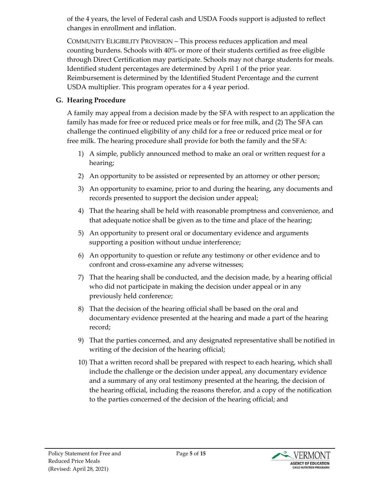of the 4 years, the level of Federal cash and USDA Foods support is adjusted to reflect changes in enrollment and inflation.

COMMUNITY ELIGIBILITY PROVISION – This process reduces application and meal counting burdens. Schools with 40% or more of their students certified as free eligible through Direct Certification may participate. Schools may not charge students for meals. Identified student percentages are determined by April 1 of the prior year. Reimbursement is determined by the Identified Student Percentage and the current USDA multiplier. This program operates for a 4 year period.

#### **G. Hearing Procedure**

A family may appeal from a decision made by the SFA with respect to an application the family has made for free or reduced price meals or for free milk, and (2) The SFA can challenge the continued eligibility of any child for a free or reduced price meal or for free milk. The hearing procedure shall provide for both the family and the SFA:

- 1) A simple, publicly announced method to make an oral or written request for a hearing;
- 2) An opportunity to be assisted or represented by an attorney or other person;
- 3) An opportunity to examine, prior to and during the hearing, any documents and records presented to support the decision under appeal;
- 4) That the hearing shall be held with reasonable promptness and convenience, and that adequate notice shall be given as to the time and place of the hearing;
- 5) An opportunity to present oral or documentary evidence and arguments supporting a position without undue interference;
- 6) An opportunity to question or refute any testimony or other evidence and to confront and cross-examine any adverse witnesses;
- 7) That the hearing shall be conducted, and the decision made, by a hearing official who did not participate in making the decision under appeal or in any previously held conference;
- 8) That the decision of the hearing official shall be based on the oral and documentary evidence presented at the hearing and made a part of the hearing record;
- 9) That the parties concerned, and any designated representative shall be notified in writing of the decision of the hearing official;
- 10) That a written record shall be prepared with respect to each hearing, which shall include the challenge or the decision under appeal, any documentary evidence and a summary of any oral testimony presented at the hearing, the decision of the hearing official, including the reasons therefor, and a copy of the notification to the parties concerned of the decision of the hearing official; and

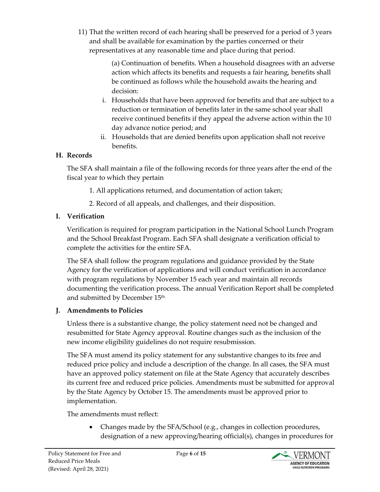11) That the written record of each hearing shall be preserved for a period of 3 years and shall be available for examination by the parties concerned or their representatives at any reasonable time and place during that period.

> (a) Continuation of benefits. When a household disagrees with an adverse action which affects its benefits and requests a fair hearing, benefits shall be continued as follows while the household awaits the hearing and decision:

- i. Households that have been approved for benefits and that are subject to a reduction or termination of benefits later in the same school year shall receive continued benefits if they appeal the adverse action within the 10 day advance notice period; and
- ii. Households that are denied benefits upon application shall not receive benefits.

### **H. Records**

The SFA shall maintain a file of the following records for three years after the end of the fiscal year to which they pertain

- 1. All applications returned, and documentation of action taken;
- 2. Record of all appeals, and challenges, and their disposition.

## **I. Verification**

Verification is required for program participation in the National School Lunch Program and the School Breakfast Program. Each SFA shall designate a verification official to complete the activities for the entire SFA.

The SFA shall follow the program regulations and guidance provided by the State Agency for the verification of applications and will conduct verification in accordance with program regulations by November 15 each year and maintain all records documenting the verification process. The annual Verification Report shall be completed and submitted by December 15<sup>th.</sup>

## **J. Amendments to Policies**

Unless there is a substantive change, the policy statement need not be changed and resubmitted for State Agency approval. Routine changes such as the inclusion of the new income eligibility guidelines do not require resubmission.

The SFA must amend its policy statement for any substantive changes to its free and reduced price policy and include a description of the change. In all cases, the SFA must have an approved policy statement on file at the State Agency that accurately describes its current free and reduced price policies. Amendments must be submitted for approval by the State Agency by October 15. The amendments must be approved prior to implementation.

The amendments must reflect:

• Changes made by the SFA/School (e.g., changes in collection procedures, designation of a new approving/hearing official(s), changes in procedures for

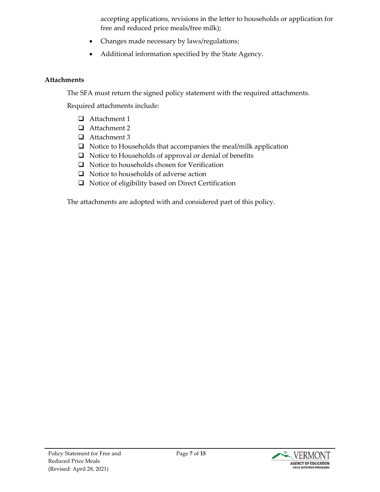accepting applications, revisions in the letter to households or application for free and reduced price meals/free milk);

- Changes made necessary by laws/regulations;
- Additional information specified by the State Agency.

#### **Attachments**

The SFA must return the signed policy statement with the required attachments.

Required attachments include:

- Attachment 1
- □ Attachment 2
- □ Attachment 3
- $\Box$  Notice to Households that accompanies the meal/milk application
- $\Box$  Notice to Households of approval or denial of benefits
- $\Box$  Notice to households chosen for Verification
- $\Box$  Notice to households of adverse action
- □ Notice of eligibility based on Direct Certification

The attachments are adopted with and considered part of this policy.

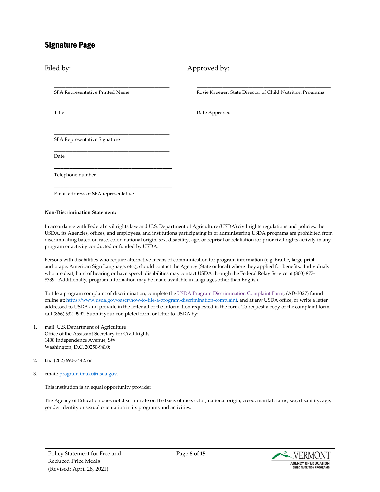#### Signature Page

Filed by: Approved by:

SFA Representative Printed Name

\_\_\_\_\_\_\_\_\_\_\_\_\_\_\_\_\_\_\_\_\_\_\_\_\_\_\_\_\_\_\_

\_\_\_\_\_\_\_\_\_\_\_\_\_\_\_\_\_\_\_\_\_\_\_\_\_\_\_\_\_\_

\_\_\_\_\_\_\_\_\_\_\_\_\_\_\_\_\_\_\_\_\_\_\_\_\_\_\_\_\_\_\_

\_\_\_\_\_\_\_\_\_\_\_\_\_\_\_\_\_\_\_\_\_\_\_\_\_\_\_\_\_\_\_

\_\_\_\_\_\_\_\_\_\_\_\_\_\_\_\_\_\_\_\_\_\_\_\_\_\_\_\_\_\_\_\_\_\_\_\_\_\_

\_\_\_\_\_\_\_\_\_\_\_\_\_\_\_\_\_\_\_\_\_\_\_\_\_\_\_\_\_\_\_\_\_\_\_\_\_\_

Title

\_\_\_\_\_\_\_\_\_\_\_\_\_\_\_\_\_\_\_\_\_\_\_\_\_\_\_\_\_\_\_\_\_\_\_\_ Rosie Krueger, State Director of Child Nutrition Programs

\_\_\_\_\_\_\_\_\_\_\_\_\_\_\_\_\_\_\_\_\_\_\_\_\_\_\_\_\_\_\_\_\_\_\_\_

Date Approved

SFA Representative Signature

Date

Telephone number

Email address of SFA representative

#### **Non-Discrimination Statement:**

In accordance with Federal civil rights law and U.S. Department of Agriculture (USDA) civil rights regulations and policies, the USDA, its Agencies, offices, and employees, and institutions participating in or administering USDA programs are prohibited from discriminating based on race, color, national origin, sex, disability, age, or reprisal or retaliation for prior civil rights activity in any program or activity conducted or funded by USDA.

Persons with disabilities who require alternative means of communication for program information (e.g. Braille, large print, audiotape, American Sign Language, etc.), should contact the Agency (State or local) where they applied for benefits. Individuals who are deaf, hard of hearing or have speech disabilities may contact USDA through the Federal Relay Service at (800) 877- 8339. Additionally, program information may be made available in languages other than English.

To file a program complaint of discrimination, complete th[e USDA Program Discrimination Complaint Form,](https://www.usda.gov/sites/default/files/documents/USDA-OASCR%20P-Complaint-Form-0508-0002-508-11-28-17Fax2Mail.pdf) (AD-3027) found online at: [https://www.usda.gov/oascr/how-to-file-a-program-discrimination-complaint,](https://www.usda.gov/oascr/how-to-file-a-program-discrimination-complaint) and at any USDA office, or write a letter addressed to USDA and provide in the letter all of the information requested in the form. To request a copy of the complaint form, call (866) 632-9992. Submit your completed form or letter to USDA by:

- 1. mail: U.S. Department of Agriculture Office of the Assistant Secretary for Civil Rights 1400 Independence Avenue, SW Washington, D.C. 20250-9410;
- 2. fax: (202) 690-7442; or
- 3. email[: program.intake@usda.gov.](mailto:program.intake@usda.gov)

This institution is an equal opportunity provider.

The Agency of Education does not discriminate on the basis of race, color, national origin, creed, marital status, sex, disability, age, gender identity or sexual orientation in its programs and activities.

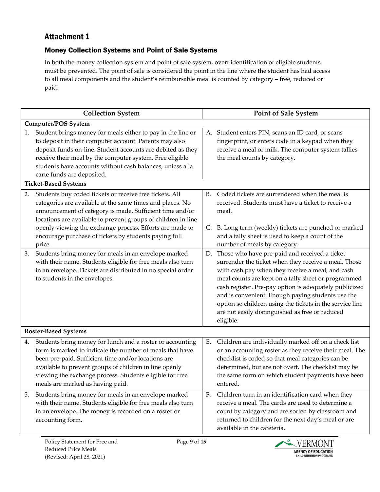## Attachment 1

#### Money Collection Systems and Point of Sale Systems

In both the money collection system and point of sale system, overt identification of eligible students must be prevented. The point of sale is considered the point in the line where the student has had access to all meal components and the student's reimbursable meal is counted by category – free, reduced or paid.

| <b>Collection System</b> |                                                                                                                                                                                                                                                                                                                                             |    | <b>Point of Sale System</b>                                                                                                                                                                                                                                                                                                                                                                                                                                    |  |  |  |
|--------------------------|---------------------------------------------------------------------------------------------------------------------------------------------------------------------------------------------------------------------------------------------------------------------------------------------------------------------------------------------|----|----------------------------------------------------------------------------------------------------------------------------------------------------------------------------------------------------------------------------------------------------------------------------------------------------------------------------------------------------------------------------------------------------------------------------------------------------------------|--|--|--|
|                          | <b>Computer/POS System</b>                                                                                                                                                                                                                                                                                                                  |    |                                                                                                                                                                                                                                                                                                                                                                                                                                                                |  |  |  |
| 1.                       | Student brings money for meals either to pay in the line or<br>to deposit in their computer account. Parents may also<br>deposit funds on-line. Student accounts are debited as they<br>receive their meal by the computer system. Free eligible<br>students have accounts without cash balances, unless a la<br>carte funds are deposited. |    | A. Student enters PIN, scans an ID card, or scans<br>fingerprint, or enters code in a keypad when they<br>receive a meal or milk. The computer system tallies<br>the meal counts by category.                                                                                                                                                                                                                                                                  |  |  |  |
|                          | <b>Ticket-Based Systems</b>                                                                                                                                                                                                                                                                                                                 |    |                                                                                                                                                                                                                                                                                                                                                                                                                                                                |  |  |  |
| 2.                       | Students buy coded tickets or receive free tickets. All<br>categories are available at the same times and places. No<br>announcement of category is made. Sufficient time and/or<br>locations are available to prevent groups of children in line                                                                                           |    | B. Coded tickets are surrendered when the meal is<br>received. Students must have a ticket to receive a<br>meal.                                                                                                                                                                                                                                                                                                                                               |  |  |  |
|                          | openly viewing the exchange process. Efforts are made to<br>encourage purchase of tickets by students paying full<br>price.                                                                                                                                                                                                                 | C. | B. Long term (weekly) tickets are punched or marked<br>and a tally sheet is used to keep a count of the<br>number of meals by category.                                                                                                                                                                                                                                                                                                                        |  |  |  |
| 3.                       | Students bring money for meals in an envelope marked<br>with their name. Students eligible for free meals also turn<br>in an envelope. Tickets are distributed in no special order<br>to students in the envelopes.                                                                                                                         |    | D. Those who have pre-paid and received a ticket<br>surrender the ticket when they receive a meal. Those<br>with cash pay when they receive a meal, and cash<br>meal counts are kept on a tally sheet or programmed<br>cash register. Pre-pay option is adequately publicized<br>and is convenient. Enough paying students use the<br>option so children using the tickets in the service line<br>are not easily distinguished as free or reduced<br>eligible. |  |  |  |
|                          | <b>Roster-Based Systems</b>                                                                                                                                                                                                                                                                                                                 |    |                                                                                                                                                                                                                                                                                                                                                                                                                                                                |  |  |  |
| 4.                       | Students bring money for lunch and a roster or accounting<br>form is marked to indicate the number of meals that have<br>been pre-paid. Sufficient time and/or locations are<br>available to prevent groups of children in line openly<br>viewing the exchange process. Students eligible for free<br>meals are marked as having paid.      | Ε. | Children are individually marked off on a check list<br>or an accounting roster as they receive their meal. The<br>checklist is coded so that meal categories can be<br>determined, but are not overt. The checklist may be<br>the same form on which student payments have been<br>entered.                                                                                                                                                                   |  |  |  |
| 5.                       | Students bring money for meals in an envelope marked<br>with their name. Students eligible for free meals also turn<br>in an envelope. The money is recorded on a roster or<br>accounting form.                                                                                                                                             | F. | Children turn in an identification card when they<br>receive a meal. The cards are used to determine a<br>count by category and are sorted by classroom and<br>returned to children for the next day's meal or are<br>available in the cafeteria.                                                                                                                                                                                                              |  |  |  |

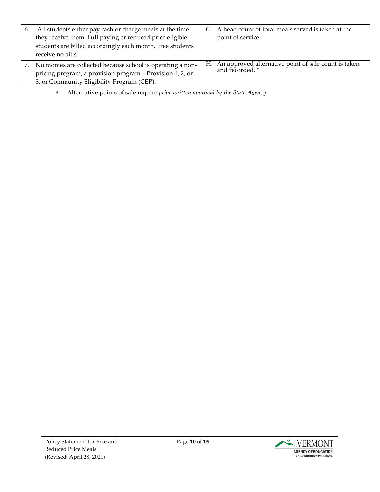| 6. | All students either pay cash or charge meals at the time<br>they receive them. Full paying or reduced price eligible<br>students are billed accordingly each month. Free students<br>receive no bills. | G. A head count of total meals served is taken at the<br>point of service.       |
|----|--------------------------------------------------------------------------------------------------------------------------------------------------------------------------------------------------------|----------------------------------------------------------------------------------|
|    | No monies are collected because school is operating a non-<br>pricing program, a provision program - Provision 1, 2, or<br>3, or Community Eligibility Program (CEP).                                  | H. An approved alternative point of sale count is taken<br>and recorded. $^\ast$ |

∗ Alternative points of sale require *prior written approval by the State Agency*.

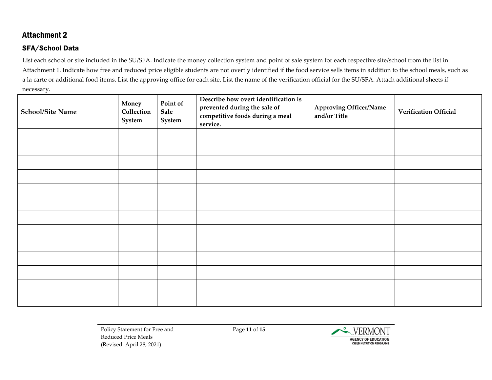#### Attachment 2

#### SFA/School Data

List each school or site included in the SU/SFA. Indicate the money collection system and point of sale system for each respective site/school from the list in Attachment 1. Indicate how free and reduced price eligible students are not overtly identified if the food service sells items in addition to the school meals, such as a la carte or additional food items. List the approving office for each site. List the name of the verification official for the SU/SFA. Attach additional sheets if necessary.

| <b>School/Site Name</b> | Money<br>Collection<br>System | Point of<br>Sale<br>System | Describe how overt identification is<br>prevented during the sale of<br>competitive foods during a meal<br>service. | <b>Approving Officer/Name</b><br>and/or Title | <b>Verification Official</b> |
|-------------------------|-------------------------------|----------------------------|---------------------------------------------------------------------------------------------------------------------|-----------------------------------------------|------------------------------|
|                         |                               |                            |                                                                                                                     |                                               |                              |
|                         |                               |                            |                                                                                                                     |                                               |                              |
|                         |                               |                            |                                                                                                                     |                                               |                              |
|                         |                               |                            |                                                                                                                     |                                               |                              |
|                         |                               |                            |                                                                                                                     |                                               |                              |
|                         |                               |                            |                                                                                                                     |                                               |                              |
|                         |                               |                            |                                                                                                                     |                                               |                              |
|                         |                               |                            |                                                                                                                     |                                               |                              |
|                         |                               |                            |                                                                                                                     |                                               |                              |
|                         |                               |                            |                                                                                                                     |                                               |                              |
|                         |                               |                            |                                                                                                                     |                                               |                              |
|                         |                               |                            |                                                                                                                     |                                               |                              |
|                         |                               |                            |                                                                                                                     |                                               |                              |

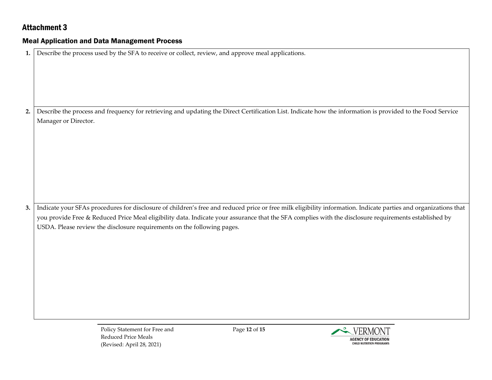## Attachment 3

#### Meal Application and Data Management Process

| 1. | Describe the process used by the SFA to receive or collect, review, and approve meal applications.                                                              |
|----|-----------------------------------------------------------------------------------------------------------------------------------------------------------------|
|    |                                                                                                                                                                 |
|    |                                                                                                                                                                 |
|    |                                                                                                                                                                 |
|    |                                                                                                                                                                 |
|    |                                                                                                                                                                 |
|    |                                                                                                                                                                 |
| 2. | Describe the process and frequency for retrieving and updating the Direct Certification List. Indicate how the information is provided to the Food Service      |
|    | Manager or Director.                                                                                                                                            |
|    |                                                                                                                                                                 |
|    |                                                                                                                                                                 |
|    |                                                                                                                                                                 |
|    |                                                                                                                                                                 |
|    |                                                                                                                                                                 |
|    |                                                                                                                                                                 |
|    |                                                                                                                                                                 |
|    |                                                                                                                                                                 |
|    |                                                                                                                                                                 |
|    |                                                                                                                                                                 |
| 3. | Indicate your SFAs procedures for disclosure of children's free and reduced price or free milk eligibility information. Indicate parties and organizations that |
|    | you provide Free & Reduced Price Meal eligibility data. Indicate your assurance that the SFA complies with the disclosure requirements established by           |
|    | USDA. Please review the disclosure requirements on the following pages.                                                                                         |
|    |                                                                                                                                                                 |
|    |                                                                                                                                                                 |
|    |                                                                                                                                                                 |
|    |                                                                                                                                                                 |
|    |                                                                                                                                                                 |
|    |                                                                                                                                                                 |
|    |                                                                                                                                                                 |
|    |                                                                                                                                                                 |
|    |                                                                                                                                                                 |
|    |                                                                                                                                                                 |
|    |                                                                                                                                                                 |

Page **12** of **15**

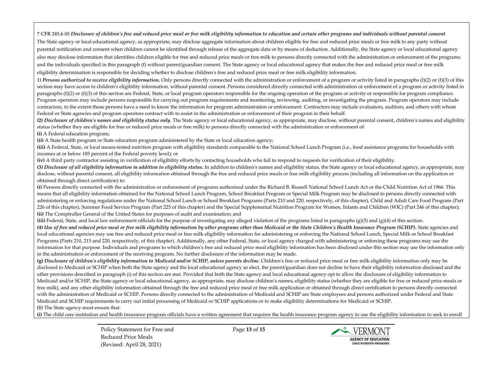**7 CFR 245.6 (f)** *Disclosure of children's free and reduced price meal or free milk eligibility information to education and certain other programs and individuals without parental consent.* The State agency or [local educational agency,](https://www.law.cornell.edu/definitions/index.php?width=840&height=800&iframe=true&def_id=7ebb5d4c218e02952a5947200700a00a&term_occur=49&term_src=lii:cfr:2014:7:0:B:II:A:245:-:245.6) as appropriate, may disclose aggregate information about children eligible for free and reduced price meals o[r free milk](https://www.law.cornell.edu/definitions/index.php?width=840&height=800&iframe=true&def_id=31d65466cf69991db2e9000c312e57bd&term_occur=25&term_src=lii:cfr:2014:7:0:B:II:A:245:-:245.6) to any party without parental notification and consent when children cannot be identified through release of the aggregate data or by means of deduction. Additionally, the State agency or [local educational agency](https://www.law.cornell.edu/definitions/index.php?width=840&height=800&iframe=true&def_id=7ebb5d4c218e02952a5947200700a00a&term_occur=47&term_src=lii:cfr:2014:7:0:B:II:A:245:-:245.6) also may disclose information that identifies children eligible for free and reduced price meals o[r free milk](https://www.law.cornell.edu/definitions/index.php?width=840&height=800&iframe=true&def_id=31d65466cf69991db2e9000c312e57bd&term_occur=26&term_src=lii:cfr:2014:7:0:B:II:A:245:-:245.6) to persons directly connected with the administration or enforcement of the programs and the individuals specified in this paragraph (f) without parent/guardian consent. The State agency o[r local educational agency](https://www.law.cornell.edu/definitions/index.php?width=840&height=800&iframe=true&def_id=7ebb5d4c218e02952a5947200700a00a&term_occur=48&term_src=lii:cfr:2014:7:0:B:II:A:245:-:245.6) that makes the free an[d reduced price meal](https://www.law.cornell.edu/definitions/index.php?width=840&height=800&iframe=true&def_id=88b008f292a5f189d6e0078373e05417&term_occur=4&term_src=lii:cfr:2014:7:0:B:II:A:245:-:245.6) o[r free milk](https://www.law.cornell.edu/definitions/index.php?width=840&height=800&iframe=true&def_id=31d65466cf69991db2e9000c312e57bd&term_occur=27&term_src=lii:cfr:2014:7:0:B:II:A:245:-:245.6) eligibility determination is responsible for deciding whether to disclose children's free an[d reduced price meal](https://www.law.cornell.edu/definitions/index.php?width=840&height=800&iframe=true&def_id=88b008f292a5f189d6e0078373e05417&term_occur=5&term_src=lii:cfr:2014:7:0:B:II:A:245:-:245.6) o[r free milk](https://www.law.cornell.edu/definitions/index.php?width=840&height=800&iframe=true&def_id=31d65466cf69991db2e9000c312e57bd&term_occur=28&term_src=lii:cfr:2014:7:0:B:II:A:245:-:245.6) eligibility information.

**1)** *Persons authorized to receive eligibility information.* Only persons directly connected with the administration or enforcement of a program or activity listed in paragraphs (f)(2) or (f)(3) of this section may have access to children's eligibility information, without parental consent. Persons considered directly connected with administration or enforcement of a program or activity listed in paragraphs (f)(2) or (f)(3) of this section are Federal, State, or local program operators responsible for the ongoing operation of the program or activity or responsible for program compliance. Program operators may include persons responsible for carrying out program requirements and monitoring, reviewing, auditing, or investigating the program. Program operators may include contractors, to the extent those persons have a need to know the information for program administration or enforcement. Contractors may include evaluators, auditors, and others with whom Federal or State agencies and program operators contract with to assist in the administration or enforcement of their program in their behalf.

**(2)** *Disclosure of children's names and eligibility status only.* The State agency o[r local educational agency,](https://www.law.cornell.edu/definitions/index.php?width=840&height=800&iframe=true&def_id=7ebb5d4c218e02952a5947200700a00a&term_occur=50&term_src=lii:cfr:2014:7:0:B:II:A:245:-:245.6) as appropriate, may disclose, without parental consent, children's names and eligibility status (whether they are eligible for free or reduced price meals or free milk) to persons directly connected with the administration or enforcement of:

**(i)** A Federal education program;

**(ii)** A State health program or State education program administered by the State or local education agency;

**(iii)** A Federal, State, or local means-tested nutrition program with eligibility standards comparable to the National School Lunch Program (i.e., food assistance programs for households with incomes at or below 185 percent of the Federal poverty level); or

**(iv)** A third party contractor assisting i[n verification](https://www.law.cornell.edu/definitions/index.php?width=840&height=800&iframe=true&def_id=51ceaf0fc943f543aee0d35eca01e4df&term_occur=5&term_src=lii:cfr:2014:7:0:B:II:A:245:-:245.6) of eligibility efforts by contacting households who fail to respond to requests fo[r verification](https://www.law.cornell.edu/definitions/index.php?width=840&height=800&iframe=true&def_id=51ceaf0fc943f543aee0d35eca01e4df&term_occur=6&term_src=lii:cfr:2014:7:0:B:II:A:245:-:245.6) of their eligibility.

**(3)** *Disclosure of all eligibility information in addition to eligibility status.* In addition to children's names and eligibility status, the State agency o[r local educational agency,](https://www.law.cornell.edu/definitions/index.php?width=840&height=800&iframe=true&def_id=7ebb5d4c218e02952a5947200700a00a&term_occur=51&term_src=lii:cfr:2014:7:0:B:II:A:245:-:245.6) as appropriate, may disclose, without parental consent, all eligibility information obtained through the free and reduced price meals o[r free milk](https://www.law.cornell.edu/definitions/index.php?width=840&height=800&iframe=true&def_id=31d65466cf69991db2e9000c312e57bd&term_occur=29&term_src=lii:cfr:2014:7:0:B:II:A:245:-:245.6) eligibility process (including all information on the application or obtained through direct certification) to:

**(i)** Persons directly connected with the administration or enforcement of programs authorized under the Richard B. Russell National School Lunch Act or the Child Nutrition Act of 1966. This means that all eligibility information obtained for the National School Lunch Program, School Breakfast Program or Specia[l Milk](https://www.law.cornell.edu/definitions/index.php?width=840&height=800&iframe=true&def_id=47c38e1946055d6c30392ed088e9f07c&term_occur=5&term_src=lii:cfr:2014:7:0:B:II:A:245:-:245.6) Program may be disclosed to persons directly connected with administering or enforcing regulations under the National School Lunch or School Breakfast Programs (Part[s 210](https://www.law.cornell.edu/cfr/text/7/210) an[d 220,](https://www.law.cornell.edu/cfr/text/7/220) respectively, of this chapter), Child an[d Adult](https://www.law.cornell.edu/definitions/index.php?width=840&height=800&iframe=true&def_id=48330406e0425f90c89c1d7b435d1523&term_occur=6&term_src=lii:cfr:2014:7:0:B:II:A:245:-:245.6) Care Food Program (Part [226 of this chapter\)](https://www.law.cornell.edu/cfr/text/7/226), Summer Food Service Program (Par[t 225 of this chapter\)](https://www.law.cornell.edu/cfr/text/7/225) and the Special Supplemental Nutrition Program for Women, Infants and Children (WIC) (Par[t 246 of this chapter\)](https://www.law.cornell.edu/cfr/text/7/246); **(ii)** The Comptroller General of the United States for purposes of audit and examination; and

**(iii)** Federal, State, and local law enforcement officials for the purpose of investigating any alleged violation of the programs listed in paragraphs (g)(3) and (g)(4) of this section.

**(4)** *Use of free and reduced price meal or free milk eligibility information by other programs other than Medicaid or the State Children's Health Insurance Program (SCHIP).* State agencies and local educational agencies may use free an[d reduced price meal](https://www.law.cornell.edu/definitions/index.php?width=840&height=800&iframe=true&def_id=88b008f292a5f189d6e0078373e05417&term_occur=7&term_src=lii:cfr:2014:7:0:B:II:A:245:-:245.6) o[r free milk](https://www.law.cornell.edu/definitions/index.php?width=840&height=800&iframe=true&def_id=31d65466cf69991db2e9000c312e57bd&term_occur=31&term_src=lii:cfr:2014:7:0:B:II:A:245:-:245.6) eligibility information for administering or enforcing the National School Lunch, Specia[l Milk](https://www.law.cornell.edu/definitions/index.php?width=840&height=800&iframe=true&def_id=47c38e1946055d6c30392ed088e9f07c&term_occur=6&term_src=lii:cfr:2014:7:0:B:II:A:245:-:245.6) or School Breakfast Programs (Parts [210, 215](https://www.law.cornell.edu/cfr/text/7/210) an[d 220,](https://www.law.cornell.edu/cfr/text/7/220) respectively, of this chapter). Additionally, any other Federal, State, or local agency charged with administering or enforcing these programs may use the information for that purpose. Individuals and programs to which children's free an[d reduced price meal](https://www.law.cornell.edu/definitions/index.php?width=840&height=800&iframe=true&def_id=88b008f292a5f189d6e0078373e05417&term_occur=8&term_src=lii:cfr:2014:7:0:B:II:A:245:-:245.6) eligibility information has been disclosed under this section may use the information only in the administration or enforcement of the receiving program. No furthe[r disclosure](https://www.law.cornell.edu/definitions/index.php?width=840&height=800&iframe=true&def_id=46131837b0a63b04056cbb0384f8229d&term_occur=3&term_src=lii:cfr:2014:7:0:B:II:A:245:-:245.6) of the information may be made.

**(g)** *Disclosure of children's eligibility information to Medicaid and/or SCHIP, unless parents decline.* Children's free o[r reduced price meal](https://www.law.cornell.edu/definitions/index.php?width=840&height=800&iframe=true&def_id=88b008f292a5f189d6e0078373e05417&term_occur=9&term_src=lii:cfr:2014:7:0:B:II:A:245:-:245.6) o[r free milk](https://www.law.cornell.edu/definitions/index.php?width=840&height=800&iframe=true&def_id=31d65466cf69991db2e9000c312e57bd&term_occur=32&term_src=lii:cfr:2014:7:0:B:II:A:245:-:245.6) eligibility information only may be disclosed t[o Medicaid](https://www.law.cornell.edu/definitions/index.php?width=840&height=800&iframe=true&def_id=ebd39b526bf516738c08b9236f41b818&term_occur=3&term_src=lii:cfr:2014:7:0:B:II:A:245:-:245.6) or SCHIP when both the State agency and th[e local educational agency](https://www.law.cornell.edu/definitions/index.php?width=840&height=800&iframe=true&def_id=7ebb5d4c218e02952a5947200700a00a&term_occur=52&term_src=lii:cfr:2014:7:0:B:II:A:245:-:245.6) so elect, the parent/guardian does not decline to have their eligibility information disclosed and the other provisions described in paragraph (i) of this section are met. Provided that both the State agency an[d local educational agency](https://www.law.cornell.edu/definitions/index.php?width=840&height=800&iframe=true&def_id=7ebb5d4c218e02952a5947200700a00a&term_occur=53&term_src=lii:cfr:2014:7:0:B:II:A:245:-:245.6) opt to allow the [disclosure](https://www.law.cornell.edu/definitions/index.php?width=840&height=800&iframe=true&def_id=46131837b0a63b04056cbb0384f8229d&term_occur=4&term_src=lii:cfr:2014:7:0:B:II:A:245:-:245.6) of eligibility information to [Medicaid](https://www.law.cornell.edu/definitions/index.php?width=840&height=800&iframe=true&def_id=ebd39b526bf516738c08b9236f41b818&term_occur=4&term_src=lii:cfr:2014:7:0:B:II:A:245:-:245.6) and/or SCHIP, the State agency o[r local educational agency,](https://www.law.cornell.edu/definitions/index.php?width=840&height=800&iframe=true&def_id=7ebb5d4c218e02952a5947200700a00a&term_occur=54&term_src=lii:cfr:2014:7:0:B:II:A:245:-:245.6) as appropriate, may disclose children's names, eligibility status (whether they are eligible for free or reduced price meals or free milk), and any other eligibility information obtained through the free an[d reduced price meal](https://www.law.cornell.edu/definitions/index.php?width=840&height=800&iframe=true&def_id=88b008f292a5f189d6e0078373e05417&term_occur=10&term_src=lii:cfr:2014:7:0:B:II:A:245:-:245.6) o[r free milk](https://www.law.cornell.edu/definitions/index.php?width=840&height=800&iframe=true&def_id=31d65466cf69991db2e9000c312e57bd&term_occur=33&term_src=lii:cfr:2014:7:0:B:II:A:245:-:245.6) application or obtained through direct certification to persons directly connected with the administration o[f Medicaid](https://www.law.cornell.edu/definitions/index.php?width=840&height=800&iframe=true&def_id=ebd39b526bf516738c08b9236f41b818&term_occur=6&term_src=lii:cfr:2014:7:0:B:II:A:245:-:245.6) or SCHIP. Persons directly connected to the administration of Medicaid and SCHIP are State employees and persons authorized under Federal and State [Medicaid](https://www.law.cornell.edu/definitions/index.php?width=840&height=800&iframe=true&def_id=ebd39b526bf516738c08b9236f41b818&term_occur=7&term_src=lii:cfr:2014:7:0:B:II:A:245:-:245.6) and SCHIP requirements to carry out initial processing o[f Medicaid](https://www.law.cornell.edu/definitions/index.php?width=840&height=800&iframe=true&def_id=ebd39b526bf516738c08b9236f41b818&term_occur=8&term_src=lii:cfr:2014:7:0:B:II:A:245:-:245.6) or SCHIP applications or to make eligibility determinations fo[r Medicaid](https://www.law.cornell.edu/definitions/index.php?width=840&height=800&iframe=true&def_id=ebd39b526bf516738c08b9236f41b818&term_occur=9&term_src=lii:cfr:2014:7:0:B:II:A:245:-:245.6) or SCHIP.

**(1)** The State agency must ensure that:

**(i)** The child care institution and health insurance program officials have a written agreement that requires the health insurance program agency to use the eligibility information to seek to enroll

Policy Statement for Free and Reduced Price Meals (Revised: April 28, 2021)

Page **13** of **15**

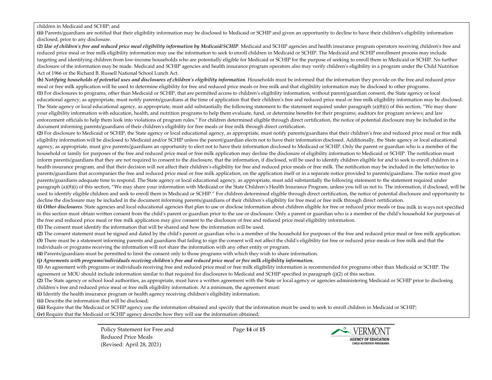#### children i[n Medicaid](https://www.law.cornell.edu/definitions/index.php?width=840&height=800&iframe=true&def_id=ebd39b526bf516738c08b9236f41b818&term_occur=10&term_src=lii:cfr:2014:7:0:B:II:A:245:-:245.6) and SCHIP; and

**(ii)** Parents/guardians are notified that their eligibility information may be disclosed to [Medicaid](https://www.law.cornell.edu/definitions/index.php?width=840&height=800&iframe=true&def_id=ebd39b526bf516738c08b9236f41b818&term_occur=11&term_src=lii:cfr:2014:7:0:B:II:A:245:-:245.6) or SCHIP and given an opportunity to decline to have their children's eligibility information disclosed, prior to an[y disclosure.](https://www.law.cornell.edu/definitions/index.php?width=840&height=800&iframe=true&def_id=46131837b0a63b04056cbb0384f8229d&term_occur=5&term_src=lii:cfr:2014:7:0:B:II:A:245:-:245.6)

**(2)** *Use of children's free and reduced price meal eligibility information by Medicaid/SCHIP.* [Medicaid](https://www.law.cornell.edu/definitions/index.php?width=840&height=800&iframe=true&def_id=ebd39b526bf516738c08b9236f41b818&term_occur=12&term_src=lii:cfr:2014:7:0:B:II:A:245:-:245.6) and SCHIP agencies and health insurance program operators receiving children's free and [reduced price meal](https://www.law.cornell.edu/definitions/index.php?width=840&height=800&iframe=true&def_id=88b008f292a5f189d6e0078373e05417&term_occur=12&term_src=lii:cfr:2014:7:0:B:II:A:245:-:245.6) or free [milk](https://www.law.cornell.edu/definitions/index.php?width=840&height=800&iframe=true&def_id=31d65466cf69991db2e9000c312e57bd&term_occur=34&term_src=lii:cfr:2014:7:0:B:II:A:245:-:245.6) eligibility information may use the information to seek to enroll children i[n Medicaid](https://www.law.cornell.edu/definitions/index.php?width=840&height=800&iframe=true&def_id=ebd39b526bf516738c08b9236f41b818&term_occur=13&term_src=lii:cfr:2014:7:0:B:II:A:245:-:245.6) or SCHIP. Th[e Medicaid](https://www.law.cornell.edu/definitions/index.php?width=840&height=800&iframe=true&def_id=ebd39b526bf516738c08b9236f41b818&term_occur=14&term_src=lii:cfr:2014:7:0:B:II:A:245:-:245.6) and SCHIP enrollment process may include targeting and identifying children from low-income households who are potentially eligible for [Medicaid](https://www.law.cornell.edu/definitions/index.php?width=840&height=800&iframe=true&def_id=ebd39b526bf516738c08b9236f41b818&term_occur=15&term_src=lii:cfr:2014:7:0:B:II:A:245:-:245.6) or SCHIP for the purpose of seeking to enroll them i[n Medicaid](https://www.law.cornell.edu/definitions/index.php?width=840&height=800&iframe=true&def_id=ebd39b526bf516738c08b9236f41b818&term_occur=16&term_src=lii:cfr:2014:7:0:B:II:A:245:-:245.6) or SCHIP. No further [disclosure](https://www.law.cornell.edu/definitions/index.php?width=840&height=800&iframe=true&def_id=46131837b0a63b04056cbb0384f8229d&term_occur=6&term_src=lii:cfr:2014:7:0:B:II:A:245:-:245.6) of the information may be made[. Medicaid](https://www.law.cornell.edu/definitions/index.php?width=840&height=800&iframe=true&def_id=ebd39b526bf516738c08b9236f41b818&term_occur=17&term_src=lii:cfr:2014:7:0:B:II:A:245:-:245.6) and SCHIP agencies and health insurance program operators also may verify children's eligibility in a program under the Child Nutrition Act of 1966 or the Richard B. Russell National School Lunch Act.

**(h)** *Notifying households of potential uses and disclosures of children's eligibility information.* Households must be informed that the information they provide on the free an[d reduced price](https://www.law.cornell.edu/definitions/index.php?width=840&height=800&iframe=true&def_id=88b008f292a5f189d6e0078373e05417&term_occur=13&term_src=lii:cfr:2014:7:0:B:II:A:245:-:245.6)  [meal](https://www.law.cornell.edu/definitions/index.php?width=840&height=800&iframe=true&def_id=88b008f292a5f189d6e0078373e05417&term_occur=13&term_src=lii:cfr:2014:7:0:B:II:A:245:-:245.6) o[r free milk](https://www.law.cornell.edu/definitions/index.php?width=840&height=800&iframe=true&def_id=31d65466cf69991db2e9000c312e57bd&term_occur=35&term_src=lii:cfr:2014:7:0:B:II:A:245:-:245.6) application will be used to determine eligibility for free and reduced price meals o[r free milk](https://www.law.cornell.edu/definitions/index.php?width=840&height=800&iframe=true&def_id=31d65466cf69991db2e9000c312e57bd&term_occur=36&term_src=lii:cfr:2014:7:0:B:II:A:245:-:245.6) and that eligibility information may be disclosed to other programs. **(1)** For disclosures to programs, other tha[n Medicaid](https://www.law.cornell.edu/definitions/index.php?width=840&height=800&iframe=true&def_id=ebd39b526bf516738c08b9236f41b818&term_occur=18&term_src=lii:cfr:2014:7:0:B:II:A:245:-:245.6) or SCHIP, that are permitted access to children's eligibility information, without parent/guardian consent, the State agency o[r local](https://www.law.cornell.edu/definitions/index.php?width=840&height=800&iframe=true&def_id=7ebb5d4c218e02952a5947200700a00a&term_occur=55&term_src=lii:cfr:2014:7:0:B:II:A:245:-:245.6)  [educational agency,](https://www.law.cornell.edu/definitions/index.php?width=840&height=800&iframe=true&def_id=7ebb5d4c218e02952a5947200700a00a&term_occur=55&term_src=lii:cfr:2014:7:0:B:II:A:245:-:245.6) as appropriate, must notify parents/guardians at the time of application that their children's free an[d reduced price meal](https://www.law.cornell.edu/definitions/index.php?width=840&height=800&iframe=true&def_id=88b008f292a5f189d6e0078373e05417&term_occur=14&term_src=lii:cfr:2014:7:0:B:II:A:245:-:245.6) o[r free milk](https://www.law.cornell.edu/definitions/index.php?width=840&height=800&iframe=true&def_id=31d65466cf69991db2e9000c312e57bd&term_occur=37&term_src=lii:cfr:2014:7:0:B:II:A:245:-:245.6) eligibility information may be disclosed. The State agency or [local educational agency,](https://www.law.cornell.edu/definitions/index.php?width=840&height=800&iframe=true&def_id=7ebb5d4c218e02952a5947200700a00a&term_occur=56&term_src=lii:cfr:2014:7:0:B:II:A:245:-:245.6) as appropriate, must add substantially the following statement to the statement required under paragraph (a)(8)(i) of this section, "We may share your eligibility information with education, health, and nutrition programs to help them evaluate, fund, or determine benefits for their programs; auditors for program reviews; and law enforcement officials to help them look into violations of program rules." For children determined eligible through direct certification, the notice of potentia[l disclosure](https://www.law.cornell.edu/definitions/index.php?width=840&height=800&iframe=true&def_id=46131837b0a63b04056cbb0384f8229d&term_occur=7&term_src=lii:cfr:2014:7:0:B:II:A:245:-:245.6) may be included in the document informing parents/guardians of their children's eligibility for free meals o[r free milk](https://www.law.cornell.edu/definitions/index.php?width=840&height=800&iframe=true&def_id=31d65466cf69991db2e9000c312e57bd&term_occur=38&term_src=lii:cfr:2014:7:0:B:II:A:245:-:245.6) through direct certification.

**(2)** Fo[r disclosure](https://www.law.cornell.edu/definitions/index.php?width=840&height=800&iframe=true&def_id=46131837b0a63b04056cbb0384f8229d&term_occur=8&term_src=lii:cfr:2014:7:0:B:II:A:245:-:245.6) t[o Medicaid](https://www.law.cornell.edu/definitions/index.php?width=840&height=800&iframe=true&def_id=ebd39b526bf516738c08b9236f41b818&term_occur=19&term_src=lii:cfr:2014:7:0:B:II:A:245:-:245.6) or SCHIP, the State agency or [local educational agency,](https://www.law.cornell.edu/definitions/index.php?width=840&height=800&iframe=true&def_id=7ebb5d4c218e02952a5947200700a00a&term_occur=57&term_src=lii:cfr:2014:7:0:B:II:A:245:-:245.6) as appropriate, must notify parents/guardians that their children's free an[d reduced price meal](https://www.law.cornell.edu/definitions/index.php?width=840&height=800&iframe=true&def_id=88b008f292a5f189d6e0078373e05417&term_occur=15&term_src=lii:cfr:2014:7:0:B:II:A:245:-:245.6) o[r free milk](https://www.law.cornell.edu/definitions/index.php?width=840&height=800&iframe=true&def_id=31d65466cf69991db2e9000c312e57bd&term_occur=39&term_src=lii:cfr:2014:7:0:B:II:A:245:-:245.6) eligibility information will be disclosed t[o Medicaid](https://www.law.cornell.edu/definitions/index.php?width=840&height=800&iframe=true&def_id=ebd39b526bf516738c08b9236f41b818&term_occur=20&term_src=lii:cfr:2014:7:0:B:II:A:245:-:245.6) and/or SCHIP unless the parent/guardian elects not to have their information disclosed. Additionally, the State agency or local educational [agency,](https://www.law.cornell.edu/definitions/index.php?width=840&height=800&iframe=true&def_id=7ebb5d4c218e02952a5947200700a00a&term_occur=58&term_src=lii:cfr:2014:7:0:B:II:A:245:-:245.6) as appropriate, must give parents/guardians an opportunity to elect not to have their information disclosed to [Medicaid](https://www.law.cornell.edu/definitions/index.php?width=840&height=800&iframe=true&def_id=ebd39b526bf516738c08b9236f41b818&term_occur=21&term_src=lii:cfr:2014:7:0:B:II:A:245:-:245.6) or SCHIP. Only the parent or guardian who is a member of the [household](https://www.law.cornell.edu/definitions/index.php?width=840&height=800&iframe=true&def_id=37daffc83b3f7be44cb2fde1bc30ef52&term_occur=50&term_src=lii:cfr:2014:7:0:B:II:A:245:-:245.6) o[r family](https://www.law.cornell.edu/definitions/index.php?width=840&height=800&iframe=true&def_id=622aa3b8d5754657c4df10b680560fa7&term_occur=12&term_src=lii:cfr:2014:7:0:B:II:A:245:-:245.6) for purposes of the free an[d reduced price meal](https://www.law.cornell.edu/definitions/index.php?width=840&height=800&iframe=true&def_id=88b008f292a5f189d6e0078373e05417&term_occur=16&term_src=lii:cfr:2014:7:0:B:II:A:245:-:245.6) o[r free milk](https://www.law.cornell.edu/definitions/index.php?width=840&height=800&iframe=true&def_id=31d65466cf69991db2e9000c312e57bd&term_occur=40&term_src=lii:cfr:2014:7:0:B:II:A:245:-:245.6) application may decline th[e disclosure](https://www.law.cornell.edu/definitions/index.php?width=840&height=800&iframe=true&def_id=46131837b0a63b04056cbb0384f8229d&term_occur=9&term_src=lii:cfr:2014:7:0:B:II:A:245:-:245.6) of eligibility information t[o Medicaid](https://www.law.cornell.edu/definitions/index.php?width=840&height=800&iframe=true&def_id=ebd39b526bf516738c08b9236f41b818&term_occur=22&term_src=lii:cfr:2014:7:0:B:II:A:245:-:245.6) or SCHIP. The notification must inform parents/guardians that they are not required to consent to th[e disclosure,](https://www.law.cornell.edu/definitions/index.php?width=840&height=800&iframe=true&def_id=46131837b0a63b04056cbb0384f8229d&term_occur=10&term_src=lii:cfr:2014:7:0:B:II:A:245:-:245.6) that the information, if disclosed, will be used to identify children eligible for and to seek to enroll children in a health insurance program, and that their decision will not affect their children's eligibility for free and reduced price meals or [free milk.](https://www.law.cornell.edu/definitions/index.php?width=840&height=800&iframe=true&def_id=31d65466cf69991db2e9000c312e57bd&term_occur=41&term_src=lii:cfr:2014:7:0:B:II:A:245:-:245.6) The notification may be included in the letter/notice to parents/guardians that accompanies the free an[d reduced price meal](https://www.law.cornell.edu/definitions/index.php?width=840&height=800&iframe=true&def_id=88b008f292a5f189d6e0078373e05417&term_occur=17&term_src=lii:cfr:2014:7:0:B:II:A:245:-:245.6) o[r free milk](https://www.law.cornell.edu/definitions/index.php?width=840&height=800&iframe=true&def_id=31d65466cf69991db2e9000c312e57bd&term_occur=42&term_src=lii:cfr:2014:7:0:B:II:A:245:-:245.6) application, on the application itself or in a separate notice provided to parents/guardians. The notice must give parents/guardians adequate time to respond. The State agency o[r local educational agency,](https://www.law.cornell.edu/definitions/index.php?width=840&height=800&iframe=true&def_id=7ebb5d4c218e02952a5947200700a00a&term_occur=59&term_src=lii:cfr:2014:7:0:B:II:A:245:-:245.6) as appropriate, must add substantially the following statement to the statement required under paragraph (a)(8)(i) of this section, "We may share your information wit[h Medicaid](https://www.law.cornell.edu/definitions/index.php?width=840&height=800&iframe=true&def_id=ebd39b526bf516738c08b9236f41b818&term_occur=23&term_src=lii:cfr:2014:7:0:B:II:A:245:-:245.6) or the State Children's Health Insurance Program, unless you tell us not to. The information, if disclosed, will be used to identify eligible children and seek to enroll them i[n Medicaid](https://www.law.cornell.edu/definitions/index.php?width=840&height=800&iframe=true&def_id=ebd39b526bf516738c08b9236f41b818&term_occur=24&term_src=lii:cfr:2014:7:0:B:II:A:245:-:245.6) or SCHIP." For children determined eligible through direct certification, the notice of potentia[l disclosure](https://www.law.cornell.edu/definitions/index.php?width=840&height=800&iframe=true&def_id=46131837b0a63b04056cbb0384f8229d&term_occur=11&term_src=lii:cfr:2014:7:0:B:II:A:245:-:245.6) and opportunity to decline th[e disclosure](https://www.law.cornell.edu/definitions/index.php?width=840&height=800&iframe=true&def_id=46131837b0a63b04056cbb0384f8229d&term_occur=12&term_src=lii:cfr:2014:7:0:B:II:A:245:-:245.6) may be included in the document informing parents/guardians of their children's eligibility fo[r free meal](https://www.law.cornell.edu/definitions/index.php?width=840&height=800&iframe=true&def_id=170dfee9864383d95b5bb62efbc1c932&term_occur=1&term_src=lii:cfr:2014:7:0:B:II:A:245:-:245.6) or [free milk](https://www.law.cornell.edu/definitions/index.php?width=840&height=800&iframe=true&def_id=31d65466cf69991db2e9000c312e57bd&term_occur=43&term_src=lii:cfr:2014:7:0:B:II:A:245:-:245.6) through direct certification.

**(i)** *Other disclosures.* State agencies and local educational agencies that plan to use or disclose information about children eligible for free or reduced price meals o[r free milk](https://www.law.cornell.edu/definitions/index.php?width=840&height=800&iframe=true&def_id=31d65466cf69991db2e9000c312e57bd&term_occur=44&term_src=lii:cfr:2014:7:0:B:II:A:245:-:245.6) in ways not specified in this section must obtain written consent from the child's parent or guardian prior to the use o[r disclosure.](https://www.law.cornell.edu/definitions/index.php?width=840&height=800&iframe=true&def_id=46131837b0a63b04056cbb0384f8229d&term_occur=13&term_src=lii:cfr:2014:7:0:B:II:A:245:-:245.6) Only a parent or guardian who is a member of the child'[s household](https://www.law.cornell.edu/definitions/index.php?width=840&height=800&iframe=true&def_id=37daffc83b3f7be44cb2fde1bc30ef52&term_occur=51&term_src=lii:cfr:2014:7:0:B:II:A:245:-:245.6) for purposes of the free and [reduced price meal](https://www.law.cornell.edu/definitions/index.php?width=840&height=800&iframe=true&def_id=88b008f292a5f189d6e0078373e05417&term_occur=18&term_src=lii:cfr:2014:7:0:B:II:A:245:-:245.6) o[r free milk](https://www.law.cornell.edu/definitions/index.php?width=840&height=800&iframe=true&def_id=31d65466cf69991db2e9000c312e57bd&term_occur=45&term_src=lii:cfr:2014:7:0:B:II:A:245:-:245.6) application may give consent to th[e disclosure](https://www.law.cornell.edu/definitions/index.php?width=840&height=800&iframe=true&def_id=46131837b0a63b04056cbb0384f8229d&term_occur=14&term_src=lii:cfr:2014:7:0:B:II:A:245:-:245.6) of free an[d reduced price meal](https://www.law.cornell.edu/definitions/index.php?width=840&height=800&iframe=true&def_id=88b008f292a5f189d6e0078373e05417&term_occur=19&term_src=lii:cfr:2014:7:0:B:II:A:245:-:245.6) eligibility information.

**(1)** The consent must identify the information that will be shared and how the information will be used.

**(2)** The consent statement must be signed and dated by the child's parent or guardian who is a member of th[e household](https://www.law.cornell.edu/definitions/index.php?width=840&height=800&iframe=true&def_id=37daffc83b3f7be44cb2fde1bc30ef52&term_occur=52&term_src=lii:cfr:2014:7:0:B:II:A:245:-:245.6) for purposes of the free and reduced pric[e meal](https://www.law.cornell.edu/definitions/index.php?width=840&height=800&iframe=true&def_id=1037461f04d4edfa23b53042b1649f8c&term_occur=2&term_src=lii:cfr:2014:7:0:B:II:A:245:-:245.6) or [free milk](https://www.law.cornell.edu/definitions/index.php?width=840&height=800&iframe=true&def_id=31d65466cf69991db2e9000c312e57bd&term_occur=46&term_src=lii:cfr:2014:7:0:B:II:A:245:-:245.6) application. **(3)** There must be a statement informing parents and guardians that failing to sign the consent will not affect the child's eligibility for free or reduced price meals o[r free milk](https://www.law.cornell.edu/definitions/index.php?width=840&height=800&iframe=true&def_id=31d65466cf69991db2e9000c312e57bd&term_occur=47&term_src=lii:cfr:2014:7:0:B:II:A:245:-:245.6) and that the individuals or programs receiving the information will not share the information with any other entity or program.

**(4)** Parents/guardians must be permitted to limit the consent only to those programs with which they wish to share information.

**(j)** *Agreements with programs/individuals receiving children's free and reduced price meal or free milk eligibility information.*

**(1)** An agreement with programs or individuals receiving free an[d reduced price meal](https://www.law.cornell.edu/definitions/index.php?width=840&height=800&iframe=true&def_id=88b008f292a5f189d6e0078373e05417&term_occur=21&term_src=lii:cfr:2014:7:0:B:II:A:245:-:245.6) o[r free milk](https://www.law.cornell.edu/definitions/index.php?width=840&height=800&iframe=true&def_id=31d65466cf69991db2e9000c312e57bd&term_occur=49&term_src=lii:cfr:2014:7:0:B:II:A:245:-:245.6) eligibility information is recommended for programs other tha[n Medicaid](https://www.law.cornell.edu/definitions/index.php?width=840&height=800&iframe=true&def_id=ebd39b526bf516738c08b9236f41b818&term_occur=25&term_src=lii:cfr:2014:7:0:B:II:A:245:-:245.6) or SCHIP. The agreement or MOU should include information similar to that required for disclosures t[o Medicaid](https://www.law.cornell.edu/definitions/index.php?width=840&height=800&iframe=true&def_id=ebd39b526bf516738c08b9236f41b818&term_occur=26&term_src=lii:cfr:2014:7:0:B:II:A:245:-:245.6) and SCHIP specified in paragraph (j)(2) of this section.

**(2)** The State agency or school food authorities, as appropriate, must have a written agreement with the State or local agency or agencies administerin[g Medicaid](https://www.law.cornell.edu/definitions/index.php?width=840&height=800&iframe=true&def_id=ebd39b526bf516738c08b9236f41b818&term_occur=27&term_src=lii:cfr:2014:7:0:B:II:A:245:-:245.6) or SCHIP prior to disclosing children's free an[d reduced price meal](https://www.law.cornell.edu/definitions/index.php?width=840&height=800&iframe=true&def_id=88b008f292a5f189d6e0078373e05417&term_occur=22&term_src=lii:cfr:2014:7:0:B:II:A:245:-:245.6) o[r free milk](https://www.law.cornell.edu/definitions/index.php?width=840&height=800&iframe=true&def_id=31d65466cf69991db2e9000c312e57bd&term_occur=50&term_src=lii:cfr:2014:7:0:B:II:A:245:-:245.6) eligibility information. At a minimum, the agreement must:

**(i)** Identify the health insurance program or health agency receiving children's eligibility information;

**(ii)** Describe the information that will be disclosed;

**(iii)** Require that the [Medicaid](https://www.law.cornell.edu/definitions/index.php?width=840&height=800&iframe=true&def_id=ebd39b526bf516738c08b9236f41b818&term_occur=28&term_src=lii:cfr:2014:7:0:B:II:A:245:-:245.6) or SCHIP agency use the information obtained and specify that the information must be used to seek to enroll children i[n Medicaid](https://www.law.cornell.edu/definitions/index.php?width=840&height=800&iframe=true&def_id=ebd39b526bf516738c08b9236f41b818&term_occur=29&term_src=lii:cfr:2014:7:0:B:II:A:245:-:245.6) or SCHIP; **(iv)** Require that the [Medicaid](https://www.law.cornell.edu/definitions/index.php?width=840&height=800&iframe=true&def_id=ebd39b526bf516738c08b9236f41b818&term_occur=30&term_src=lii:cfr:2014:7:0:B:II:A:245:-:245.6) or SCHIP agency describe how they will use the information obtained;

> Policy Statement for Free and Reduced Price Meals (Revised: April 28, 2021)

Page **14** of **15**